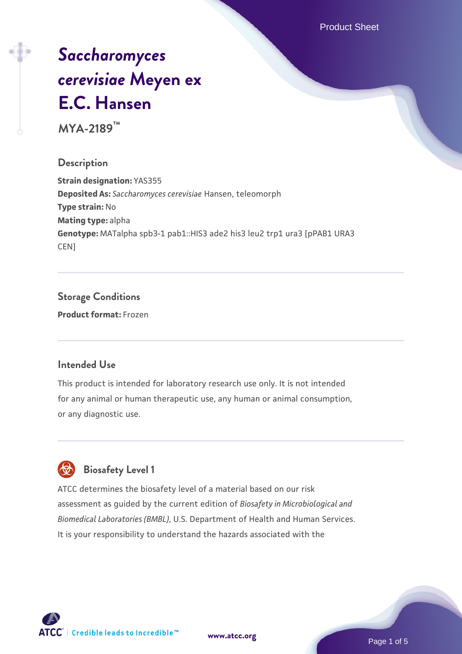Product Sheet

# *[Saccharomyces](https://www.atcc.org/products/mya-2189) [cerevisiae](https://www.atcc.org/products/mya-2189)* **[Meyen ex](https://www.atcc.org/products/mya-2189) [E.C. Hansen](https://www.atcc.org/products/mya-2189)**

**MYA-2189™**

### **Description**

**Strain designation:** YAS355 **Deposited As:** *Saccharomyces cerevisiae* Hansen, teleomorph **Type strain:** No **Mating type:** alpha **Genotype:** MATalpha spb3-1 pab1::HIS3 ade2 his3 leu2 trp1 ura3 [pPAB1 URA3 CEN]

# **Storage Conditions**

**Product format:** Frozen

### **Intended Use**

This product is intended for laboratory research use only. It is not intended for any animal or human therapeutic use, any human or animal consumption, or any diagnostic use.



### **Biosafety Level 1**

ATCC determines the biosafety level of a material based on our risk assessment as guided by the current edition of *Biosafety in Microbiological and Biomedical Laboratories (BMBL)*, U.S. Department of Health and Human Services. It is your responsibility to understand the hazards associated with the

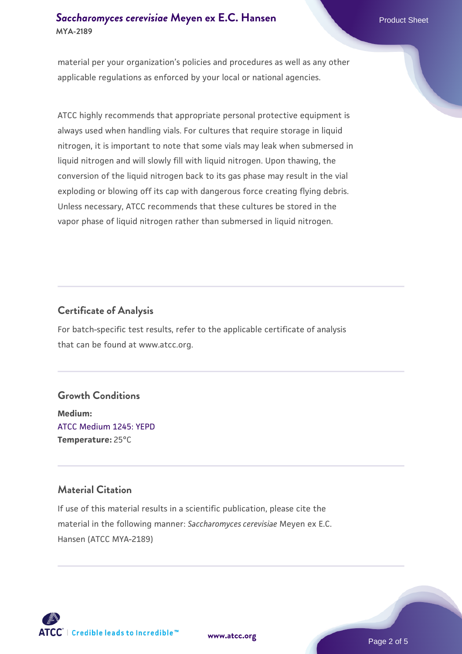### **[Saccharomyces cerevisiae](https://www.atcc.org/products/mya-2189)** [Meyen ex E.C. Hansen](https://www.atcc.org/products/mya-2189) **MYA-2189**

material per your organization's policies and procedures as well as any other applicable regulations as enforced by your local or national agencies.

ATCC highly recommends that appropriate personal protective equipment is always used when handling vials. For cultures that require storage in liquid nitrogen, it is important to note that some vials may leak when submersed in liquid nitrogen and will slowly fill with liquid nitrogen. Upon thawing, the conversion of the liquid nitrogen back to its gas phase may result in the vial exploding or blowing off its cap with dangerous force creating flying debris. Unless necessary, ATCC recommends that these cultures be stored in the vapor phase of liquid nitrogen rather than submersed in liquid nitrogen.

### **Certificate of Analysis**

For batch-specific test results, refer to the applicable certificate of analysis that can be found at www.atcc.org.

### **Growth Conditions**

**Medium:**  [ATCC Medium 1245: YEPD](https://www.atcc.org/-/media/product-assets/documents/microbial-media-formulations/1/2/4/5/atcc-medium-1245.pdf?rev=705ca55d1b6f490a808a965d5c072196) **Temperature:** 25°C

### **Material Citation**

If use of this material results in a scientific publication, please cite the material in the following manner: *Saccharomyces cerevisiae* Meyen ex E.C. Hansen (ATCC MYA-2189)



**[www.atcc.org](http://www.atcc.org)**

Page 2 of 5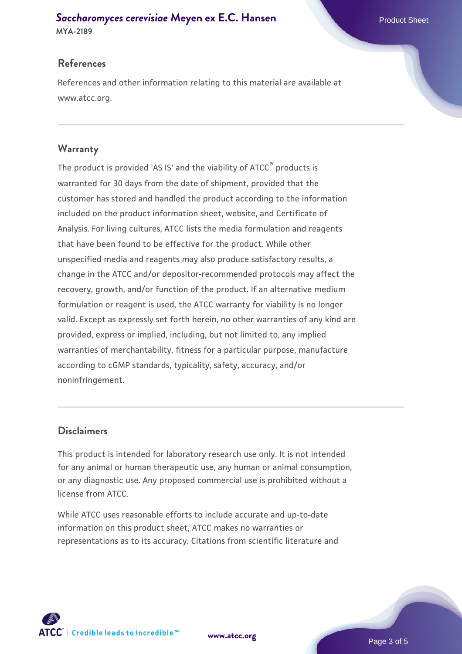# **[Saccharomyces cerevisiae](https://www.atcc.org/products/mya-2189)** [Meyen ex E.C. Hansen](https://www.atcc.org/products/mya-2189)

**MYA-2189**

### **References**

References and other information relating to this material are available at www.atcc.org.

### **Warranty**

The product is provided 'AS IS' and the viability of ATCC® products is warranted for 30 days from the date of shipment, provided that the customer has stored and handled the product according to the information included on the product information sheet, website, and Certificate of Analysis. For living cultures, ATCC lists the media formulation and reagents that have been found to be effective for the product. While other unspecified media and reagents may also produce satisfactory results, a change in the ATCC and/or depositor-recommended protocols may affect the recovery, growth, and/or function of the product. If an alternative medium formulation or reagent is used, the ATCC warranty for viability is no longer valid. Except as expressly set forth herein, no other warranties of any kind are provided, express or implied, including, but not limited to, any implied warranties of merchantability, fitness for a particular purpose, manufacture according to cGMP standards, typicality, safety, accuracy, and/or noninfringement.

### **Disclaimers**

This product is intended for laboratory research use only. It is not intended for any animal or human therapeutic use, any human or animal consumption, or any diagnostic use. Any proposed commercial use is prohibited without a license from ATCC.

While ATCC uses reasonable efforts to include accurate and up-to-date information on this product sheet, ATCC makes no warranties or representations as to its accuracy. Citations from scientific literature and

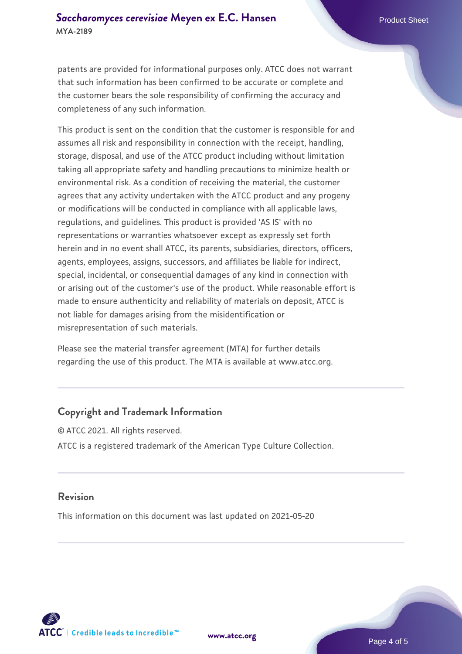patents are provided for informational purposes only. ATCC does not warrant that such information has been confirmed to be accurate or complete and the customer bears the sole responsibility of confirming the accuracy and completeness of any such information.

This product is sent on the condition that the customer is responsible for and assumes all risk and responsibility in connection with the receipt, handling, storage, disposal, and use of the ATCC product including without limitation taking all appropriate safety and handling precautions to minimize health or environmental risk. As a condition of receiving the material, the customer agrees that any activity undertaken with the ATCC product and any progeny or modifications will be conducted in compliance with all applicable laws, regulations, and guidelines. This product is provided 'AS IS' with no representations or warranties whatsoever except as expressly set forth herein and in no event shall ATCC, its parents, subsidiaries, directors, officers, agents, employees, assigns, successors, and affiliates be liable for indirect, special, incidental, or consequential damages of any kind in connection with or arising out of the customer's use of the product. While reasonable effort is made to ensure authenticity and reliability of materials on deposit, ATCC is not liable for damages arising from the misidentification or misrepresentation of such materials.

Please see the material transfer agreement (MTA) for further details regarding the use of this product. The MTA is available at www.atcc.org.

### **Copyright and Trademark Information**

© ATCC 2021. All rights reserved. ATCC is a registered trademark of the American Type Culture Collection.

### **Revision**

This information on this document was last updated on 2021-05-20



**[www.atcc.org](http://www.atcc.org)**